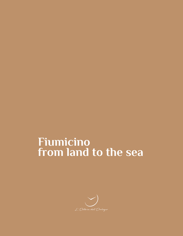# **Fiumicino from land to the sea**

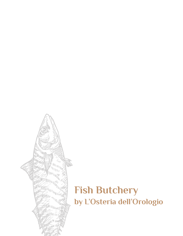

### **Fish Butchery by L'Osteria dell'Orologio**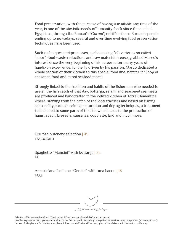Food preservation, with the purpose of having it available any time of the year, is one of the atavistic needs of humanity: back since the ancient Egyptians, through the Roman's "*Garum*", until Northern Europe's people ending up to nowadays, several and over time evolving food preservation techniques have been used.

Such techniques and processes, such as using fish varieties so called "poor", food waste reductions and raw materials' reuse, grabbed Marco's interest since the very beginning of his career; after many years of hands-on experience, furtherly driven by his passion, Marco dedicated a whole section of their kitchen to this special food line, naming it "Shop of seasoned food and cured seafood meat".

Strongly linked to the tradition and habits of the fishermen who needed to use all the fish catch of that day, bottarga, salami and seasoned sea meats are produced and handcrafted in the iodized kitchen of Torre Clementina where, starting from the catch of the local trawlers and based on fishing seasonality, through salting, maturation and drying techniques, a treatment is dedicated to some parts of the fish which leads to the production of hams, speck, bresaola, sausages, coppiette, lard and much more.

Our fish butchery selection | 45 1,2,4,7,8,10,11,14

Spaghetto "Mancini" with bottarga | 22 1,4

Amatriciana fusillone "Gentile" with tuna bacon | 18 1,4,7,9



Selection of homemade bread and "Quattrociocchi" extra-virgin olive oil 3,00 euro per person.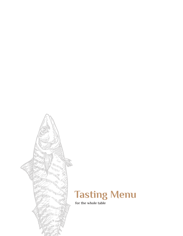



 **for the whole table**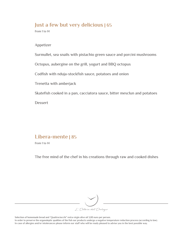#### **Just a few but very delicious | 65**

from 1 to 14

Appetizer

Surmullet, sea snails with pistachio green sauce and porcini mushrooms

Octopus, aubergine on the grill, yogurt and BBQ octopus

Codfish with nduja-stockfish sauce, potatoes and onion

Trenetta with amberjack

Skatefish cooked in a pan, cacciatora sauce, bitter mesclun and potatoes

Dessert

#### **Libera-mente | 85**

from 1 to 14

The free mind of the chef in his creations through raw and cooked dishes



Selection of homemade bread and "Quattrociocchi" extra-virgin olive oil 3,00 euro per person.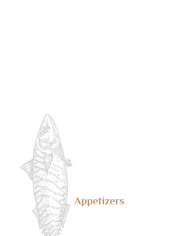

### **Appetizers**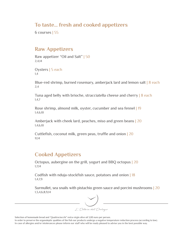#### **To taste… fresh and cooked appetizers**

6 courses | 55

#### **Raw Appetizers**

Raw appetizer "Oil and Salt" | 50 2,4,14

Oysters | 5 each 1,4

Blue-red shrimp, burned rosemary, amberjack lard and lemon salt | 8 each 2,4

Tuna aged belly with brioche, stracciatella cheese and cherry | 8 each 1,4,7

Rose shrimp, almond milk, oyster, cucumber and sea fennel | 19 1,4,6,10

Amberjack with cheek lard, peaches, miso and green beans | 20 1,4,6,10

Cuttlefish, coconut milk, green peas, truffle and onion | 20 11,14

#### **Cooked Appetizers**

Octopus, aubergine on the grill, yogurt and BBQ octopus | 20 1,7,14

Codfish with nduja-stockfish sauce, potatoes and onion | 18 1,4,7,9

Surmullet, sea snails with pistachio green sauce and porcini mushrooms | 20 1,3,4,6,8,9,14



L'Osteria dell'Orologu

Selection of homemade bread and "Quattrociocchi" extra-virgin olive oil 3,00 euro per person.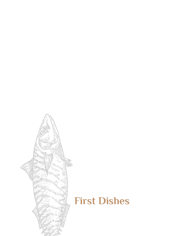

# **First Dishes**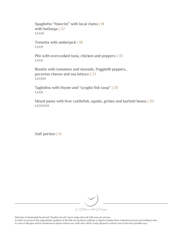Spaghetto "Mancini" with local clams | 18 with bottarga | 22 1,3,4,14 Trenetta with amberjack | 18 1,3,4,9 Plin with overcooked tuna, chicken and peppers | 20 1,3,4,9 Risotto with tomatoes and mussels, friggitelli peppers, pecorino cheese and sea lettuce | 22

1,4,7,9,14

Tagliolino with thyme and "scoglio fish soup" | 20 1,3,4,9

Mixed pasta with liver cuttlefish, squids, grisles and borlotti beans | 20 1,4,7,9,13,14

Half portion | 14



Selection of homemade bread and "Quattrociocchi" extra-virgin olive oil 3,00 euro per person.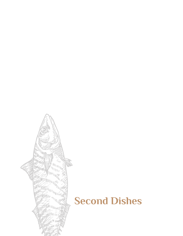

### **Second Dishes**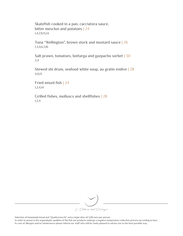Skatefish cooked in a pan, cacciatora sauce, bitter mesclun and potatoes | 24 1,4,7,9,13,14

Tuna "Wellington", brown stock and mustard sauce | 26 1,3,4,6,7,10

Salt prawn, tomatoes, bottarga and gazpacho sorbet | 30 2,4

Stewed shi drum, seafood white soup, au gratin endive | 28 4,9,13

Fried mixed fish | 24 1,2,4,14

Grilled fishes, molluscs and shellfishes | 28 1,2,4



Selection of homemade bread and "Quattrociocchi" extra-virgin olive oil 3,00 euro per person.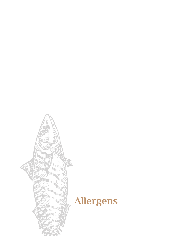

# **Allergens**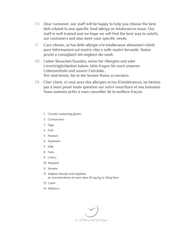- EN Dear customer, our staff will be happy to help you choose the best dish related to any specific food allergy or intolerances issue. Our staff is well trained and we hope we will find the best way to satisfy our customers and also meet your specific needs.
- IT Caro cliente, se hai delle allergie e/o intolleranze alimentari chiedi pure informazioni sul nostro cibo e sulle nostre bevande. Siamo pronti a consigliarti nel migliore dei modi.
- DE Lieber Besucher/Kunden, wenn Sie Allergien und oder Unverträglichkeiten haben, bitte fragen Sie nach unseren Lebensmitteln und unsere Getränke. Wir sind bereit, Sie in der besten Weise zu beraten.
- FR Cher client, si vous avez des allergies et/ou d'intolérances, ne hésitez pas à nous poser toute question sur notre nourriture et nos boissons. Nous sommes prêts à vous conseiller de la meillure fraçon.
	- 1 Cereals containing gluten
	- 2 Crustaceans
	- 3 Eggs
	- 4 Fish
	- 5 Peanuts
	- 6 Soybeans
	- 7 Milk
	- 8 Nuts
	- 9 Celery
	- 10 Mustard
	- 11 Sesame
	- 12 Sulphur dioxide and sulphites at concentrations of more than 10 mg/kg or 10mg/litre
	- 13 Lupin
	- 14 Molluscs